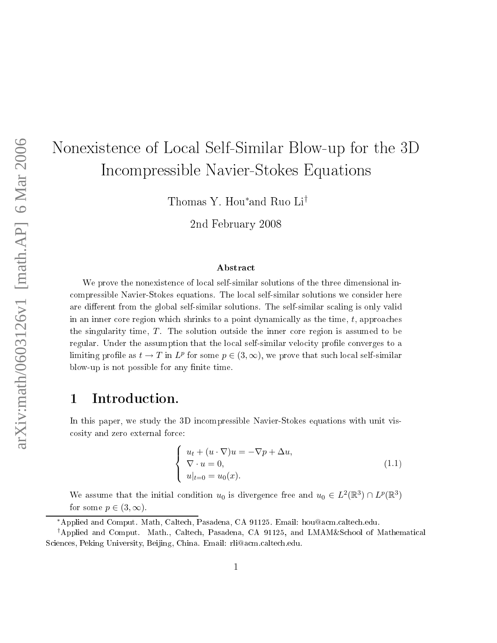# Nonexisten
e of Lo
al Self-Similar Blow-up for the 3D In
ompressible Navier-Stokes Equations

Thomas Y. Hou∗ and Ruo Li†

2nd February <sup>2008</sup>

### **Abstract**

We prove the nonexistence of local self-similar solutions of the three dimensional inompressible Navier-Stokes equations. The lo
al self-similar solutions we onsider here are different from the global self-similar solutions. The self-similar scaling is only valid in an inner core region which shrinks to a point dynamically as the time,  $t$ , approaches the singularity time,  $T$ . The solution outside the inner core region is assumed to be regular. Under the assumption that the local self-similar velocity profile converges to a limiting profile as  $t \to T$  in  $L^p$  for some  $p \in (3, \infty)$ , we prove that such local self-similar blow-up is not possible for any finite time.

## 1 Introduction.

In this paper, we study the 3D incompressible Navier-Stokes equations with unit visosity and zero external for
e:

$$
\begin{cases}\n u_t + (u \cdot \nabla)u = -\nabla p + \Delta u, \\
 \nabla \cdot u = 0, \\
 u|_{t=0} = u_0(x).\n\end{cases}
$$
\n(1.1)

We assume that the initial condition  $u_0$  is divergence free and  $u_0 \in L^2(\mathbb{R}^3) \cap L^p(\mathbb{R}^3)$ for some  $p \in (3,\infty)$ .

<sup>\*</sup>Applied and Comput. Math, Caltech, Pasadena, CA 91125. Email: hou@acm.caltech.edu.

<sup>&</sup>lt;sup>†</sup>Applied and Comput. Math., Caltech, Pasadena, CA 91125, and LMAM&School of Mathematical Sciences, Peking University, Beijing, China. Email: rli@acm.caltech.edu.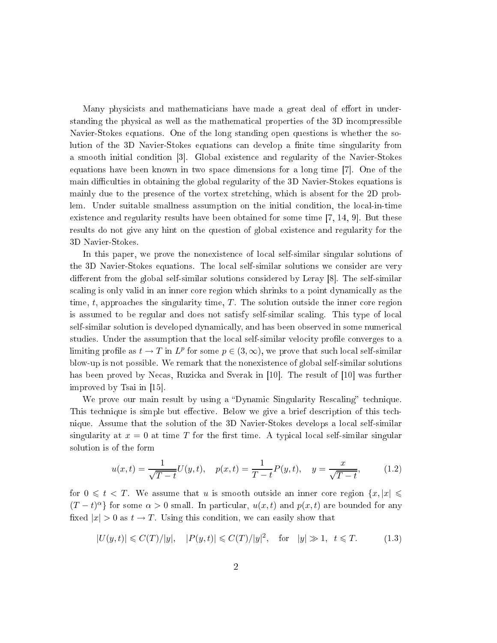Many physicists and mathematicians have made a great deal of effort in understanding the physical as well as the mathematical properties of the 3D incompressible Navier-Stokes equations. One of the long standing open questions is whether the solution of the 3D Navier-Stokes equations can develop a finite time singularity from a smooth initial condition [3]. Global existence and regularity of the Navier-Stokes equations have been known in two space dimensions for a long time  $[7]$ . One of the main difficulties in obtaining the global regularity of the 3D Navier-Stokes equations is mainly due to the presen
e of the vortex stret
hing, whi
h is absent for the 2D problem. Under suitable smallness assumption on the initial ondition, the lo
al-in-time existence and regularity results have been obtained for some time  $[7, 14, 9]$ . But these results do not give any hint on the question of global existen
e and regularity for the 3D Navier-Stokes.

In this paper, we prove the nonexisten
e of lo
al self-similar singular solutions of the 3D Navier-Stokes equations. The lo
al self-similar solutions we onsider are very different from the global self-similar solutions considered by Leray  $[8]$ . The self-similar scaling is only valid in an inner core region which shrinks to a point dynamically as the time,  $t$ , approaches the singularity time,  $T$ . The solution outside the inner core region is assumed to be regular and does not satisfy self-similar scaling. This type of local self-similar solution is developed dynamically, and has been observed in some numerical studies. Under the assumption that the local self-similar velocity profile converges to a limiting profile as  $t \to T$  in  $L^p$  for some  $p \in (3, \infty)$ , we prove that such local self-similar blow-up is not possible. We remark that the nonexisten
e of global self-similar solutions has been proved by Necas, Ruzicka and Sverak in [10]. The result of [10] was further improved by Tsai in  $[15]$ .

We prove our main result by using a "Dynamic Singularity Rescaling" technique This technique is simple but effective. Below we give a brief description of this technique. Assume that the solution of the 3D Navier-Stokes develops a lo
al self-similar singularity at  $x = 0$  at time T for the first time. A typical local self-similar singular solution is of the form

$$
u(x,t) = \frac{1}{\sqrt{T-t}}U(y,t), \quad p(x,t) = \frac{1}{T-t}P(y,t), \quad y = \frac{x}{\sqrt{T-t}}, \quad (1.2)
$$

for  $0 \leq t < T$ . We assume that u is smooth outside an inner core region  $\{x, |x| \leq t\}$  $(T-t)^{\alpha}$ } for some  $\alpha > 0$  small. In particular,  $u(x,t)$  and  $p(x,t)$  are bounded for any fixed  $|x| > 0$  as  $t \to T$ . Using this condition, we can easily show that

$$
|U(y,t)| \leq C(T)/|y|, \quad |P(y,t)| \leq C(T)/|y|^2, \quad \text{for} \quad |y| \gg 1, \ \ t \leq T. \tag{1.3}
$$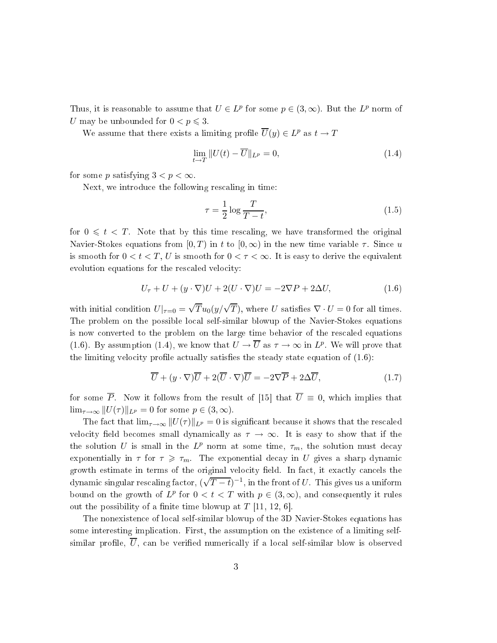Thus, it is reasonable to assume that  $U \in L^p$  for some  $p \in (3, \infty)$ . But the  $L^p$  norm of U may be unbounded for  $0 < p \leq 3$ .

We assume that there exists a limiting profile  $\overline{U}(y) \in L^p$  as  $t \to T$ 

$$
\lim_{t \to T} ||U(t) - \overline{U}||_{L^p} = 0,
$$
\n(1.4)

for some p satisfying  $3 < p < \infty$ .

Next, we introdu
e the following res
aling in time:

$$
\tau = \frac{1}{2} \log \frac{T}{T - t},\tag{1.5}
$$

for  $0 \leq t < T$ . Note that by this time rescaling, we have transformed the original Navier-Stokes equations from  $[0, T)$  in t to  $[0, \infty)$  in the new time variable  $\tau$ . Since u is smooth for  $0 < t < T$ , U is smooth for  $0 < \tau < \infty$ . It is easy to derive the equivalent evolution equations for the rescaled velocity:

$$
U_{\tau} + U + (y \cdot \nabla)U + 2(U \cdot \nabla)U = -2\nabla P + 2\Delta U, \qquad (1.6)
$$

with initial condition  $U|_{\tau=0} = \sqrt{T}u_0(y/\sqrt{T})$ , where U satisfies  $\nabla \cdot U = 0$  for all times. The problem on the possible local self-similar blowup of the Navier-Stokes equations is now onverted to the problem on the large time behavior of the res
aled equations (1.6). By assumption (1.4), we know that  $U \to \overline{U}$  as  $\tau \to \infty$  in  $L^p$ . We will prove that the limiting velocity profile actually satisfies the steady state equation of  $(1.6)$ :

$$
\overline{U} + (y \cdot \nabla)\overline{U} + 2(\overline{U} \cdot \nabla)\overline{U} = -2\nabla \overline{P} + 2\Delta \overline{U},\tag{1.7}
$$

for some  $\overline{P}$ . Now it follows from the result of [15] that  $\overline{U} \equiv 0$ , which implies that  $\lim_{\tau \to \infty} ||U(\tau)||_{L^p} = 0$  for some  $p \in (3, \infty)$ .

The fact that  $\lim_{\tau\to\infty} ||U(\tau)||_{L^p} = 0$  is significant because it shows that the rescaled velocity field becomes small dynamically as  $\tau \to \infty$ . It is easy to show that if the the solution U is small in the  $L^p$  norm at some time,  $\tau_m$ , the solution must decay exponentially in  $\tau$  for  $\tau \geq \tau_m$ . The exponential decay in U gives a sharp dynamic growth estimate in terms of the original velocity field. In fact, it exactly cancels the dynamic singular rescaling factor,  $(\sqrt{T-t})^{-1}$ , in the front of U. This gives us a uniform bound on the growth of  $L^p$  for  $0 < t < T$  with  $p \in (3, \infty)$ , and consequently it rules out the possibility of a finite time blowup at  $T$  [11, 12, 6].

The nonexisten
e of lo
al self-similar blowup of the 3D Navier-Stokes equations has some interesting implication. First, the assumption on the existence of a limiting selfsimilar profile,  $\overline{U}$ , can be verified numerically if a local self-similar blow is observed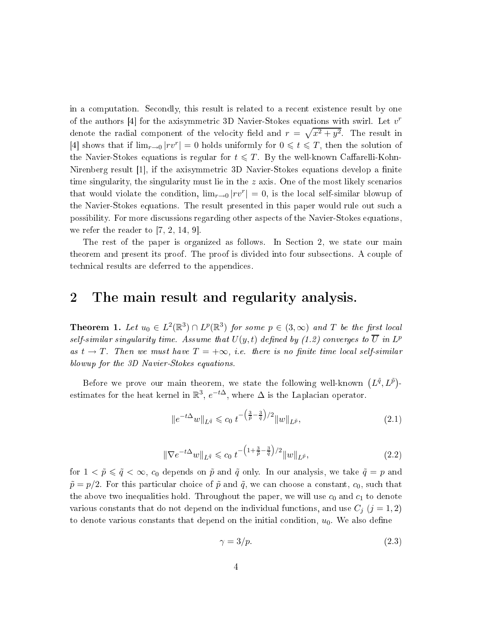in a omputation. Se
ondly, this result is related to a re
ent existen
e result by one of the authors [4] for the axisymmetric 3D Navier-Stokes equations with swirl. Let  $v^r$ denote the radial component of the velocity field and  $r = \sqrt{x^2 + y^2}$ . The result in [4] shows that if  $\lim_{r\to 0} |rv^r| = 0$  holds uniformly for  $0 \leq t \leq T$ , then the solution of the Navier-Stokes equations is regular for  $t \leqslant T$ . By the well-known Caffarelli-Kohn-Nirenberg result  $[1]$ , if the axisymmetric 3D Navier-Stokes equations develop a finite time singularity, the singularity must lie in the  $z$  axis. One of the most likely scenarios that would violate the condition,  $\lim_{r\to 0} |rv^r| = 0$ , is the local self-similar blowup of the Navier-Stokes equations. The result presented in this paper would rule out su
h a possibility. For more dis
ussions regarding other aspe
ts of the Navier-Stokes equations, we refer the reader to  $[7, 2, 14, 9]$ .

The rest of the paper is organized as follows. In Section 2, we state our main theorem and present its proof. The proof is divided into four subse
tions. A ouple of te
hni
al results are deferred to the appendi
es.

### 2 The main result and regularity analysis.

**Theorem 1.** Let  $u_0 \in L^2(\mathbb{R}^3) \cap L^p(\mathbb{R}^3)$  for some  $p \in (3, \infty)$  and T be the first local self-similar singularity time. Assume that  $U(y,t)$  defined by (1.2) converges to  $\overline{U}$  in  $L^p$ as  $t \to T$ . Then we must have  $T = +\infty$ , i.e. there is no finite time local self-similar blowup for the 3D Navier-Stokes equations.

Before we prove our main theorem, we state the following well-known  $(L^{\tilde{q}}, L^{\tilde{p}})$ estimates for the heat kernel in  $\mathbb{R}^3$ ,  $e^{-t\Delta}$ , where  $\Delta$  is the Laplacian operator.

$$
||e^{-t\Delta}w||_{L^{\tilde{q}}} \leqslant c_0 \ t^{-\left(\frac{3}{\tilde{p}} - \frac{3}{\tilde{q}}\right)/2} ||w||_{L^{\tilde{p}}},\tag{2.1}
$$

$$
\|\nabla e^{-t\Delta}w\|_{L^{\tilde{q}}} \leqslant c_0 \ t^{-\left(1+\frac{3}{\tilde{p}}-\frac{3}{\tilde{q}}\right)/2} \|w\|_{L^{\tilde{p}}},\tag{2.2}
$$

for  $1 < \tilde{p} \leq \tilde{q} < \infty$ ,  $c_0$  depends on  $\tilde{p}$  and  $\tilde{q}$  only. In our analysis, we take  $\tilde{q} = p$  and  $\tilde{p} = p/2$ . For this particular choice of  $\tilde{p}$  and  $\tilde{q}$ , we can choose a constant,  $c_0$ , such that the above two inequalities hold. Throughout the paper, we will use  $c_0$  and  $c_1$  to denote various constants that do not depend on the individual functions, and use  $C_j$   $(j = 1, 2)$ to denote various constants that depend on the initial condition,  $u_0$ . We also define

$$
\gamma = 3/p. \tag{2.3}
$$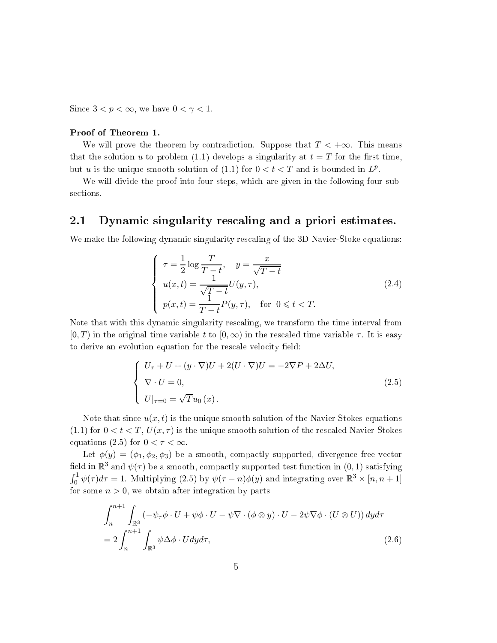Since  $3 < p < \infty$ , we have  $0 < \gamma < 1$ .

### Proof of Theorem 1.

We will prove the theorem by contradiction. Suppose that  $T < +\infty$ . This means that the solution u to problem (1.1) develops a singularity at  $t = T$  for the first time, but u is the unique smooth solution of (1.1) for  $0 < t < T$  and is bounded in  $L^p$ .

We will divide the proof into four steps, which are given in the following four subsections.

#### 2.1Dynamic singularity rescaling and a priori estimates.

We make the following dynamic singularity rescaling of the 3D Navier-Stoke equations:

$$
\begin{cases}\n\tau = \frac{1}{2}\log\frac{T}{T-t}, \quad y = \frac{x}{\sqrt{T-t}} \\
u(x,t) = \frac{1}{\sqrt{T-t}}U(y,\tau), \\
p(x,t) = \frac{1}{T-t}P(y,\tau), \quad \text{for } 0 \leq t < T.\n\end{cases}
$$
\n(2.4)

Note that with this dynamic singularity rescaling, we transform the time interval from  $[0, T)$  in the original time variable t to  $[0, \infty)$  in the rescaled time variable  $\tau$ . It is easy to derive an evolution equation for the rescale velocity field:

$$
\begin{cases}\nU_{\tau} + U + (y \cdot \nabla)U + 2(U \cdot \nabla)U = -2\nabla P + 2\Delta U, \\
\nabla \cdot U = 0, \\
U|_{\tau=0} = \sqrt{T}u_0(x).\n\end{cases}
$$
\n(2.5)

Note that since  $u(x, t)$  is the unique smooth solution of the Navier-Stokes equations (1.1) for  $0 < t < T$ ,  $U(x, \tau)$  is the unique smooth solution of the rescaled Navier-Stokes equations (2.5) for  $0 < \tau < \infty$ .

Let  $\phi(y) = (\phi_1, \phi_2, \phi_3)$  be a smooth, compactly supported, divergence free vector field in  $\mathbb{R}^3$  and  $\psi(\tau)$  be a smooth, compactly supported test function in  $(0,1)$  satisfying  $\int_0^1 \psi(\tau) d\tau = 1$ . Multiplying (2.5) by  $\psi(\tau - n)\phi(y)$  and integrating over  $\mathbb{R}^3 \times [n, n+1]$ for some  $n > 0$ , we obtain after integration by parts

$$
\int_{n}^{n+1} \int_{\mathbb{R}^{3}} \left( -\psi_{\tau} \phi \cdot U + \psi \phi \cdot U - \psi \nabla \cdot (\phi \otimes y) \cdot U - 2\psi \nabla \phi \cdot (U \otimes U) \right) dy d\tau
$$
  
= 
$$
2 \int_{n}^{n+1} \int_{\mathbb{R}^{3}} \psi \Delta \phi \cdot U dy d\tau,
$$
 (2.6)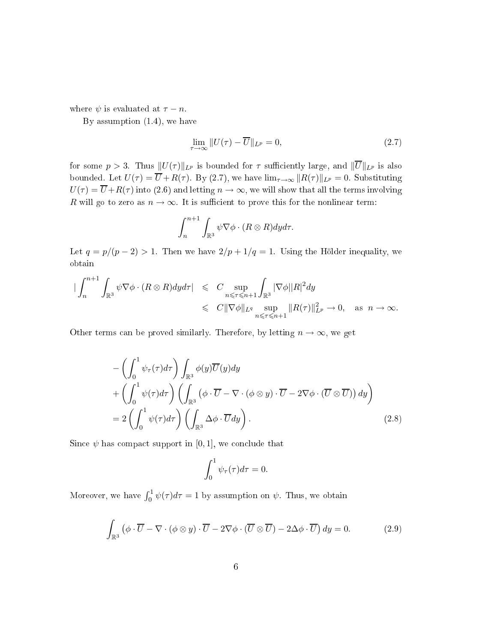where  $\psi$  is evaluated at  $\tau - n$ .

By assumption (1.4), we have

$$
\lim_{\tau \to \infty} ||U(\tau) - \overline{U}||_{L^p} = 0,
$$
\n(2.7)

for some  $p > 3$ . Thus  $||U(\tau)||_{L^p}$  is bounded for  $\tau$  sufficiently large, and  $||\overline{U}||_{L^p}$  is also bounded. Let  $U(\tau) = \overline{U} + R(\tau)$ . By (2.7), we have  $\lim_{\tau \to \infty} ||R(\tau)||_{L^p} = 0$ . Substituting  $U(\tau) = \overline{U} + R(\tau)$  into (2.6) and letting  $n \to \infty$ , we will show that all the terms involving R will go to zero as  $n \to \infty$ . It is sufficient to prove this for the nonlinear term:

$$
\int_n^{n+1} \int_{\mathbb{R}^3} \psi \nabla \phi \cdot (R \otimes R) dy d\tau.
$$

Let  $q = p/(p-2) > 1$ . Then we have  $2/p + 1/q = 1$ . Using the Hölder inequality, we obtain

$$
\begin{array}{rcl}\n|\int_{n}^{n+1} \int_{\mathbb{R}^{3}} \psi \nabla \phi \cdot (R \otimes R) dy d\tau| & \leqslant & C \sup_{n \leqslant \tau \leqslant n+1} \int_{\mathbb{R}^{3}} |\nabla \phi| |R|^{2} dy \\
& \leqslant & C \|\nabla \phi\|_{L^{q}} \sup_{n \leqslant \tau \leqslant n+1} \|R(\tau)\|_{L^{p}}^{2} \to 0, \quad \text{as } n \to \infty.\n\end{array}
$$

Other terms can be proved similarly. Therefore, by letting  $n \to \infty$ , we get

$$
- \left( \int_0^1 \psi_\tau(\tau) d\tau \right) \int_{\mathbb{R}^3} \phi(y) \overline{U}(y) dy
$$
  
+ 
$$
\left( \int_0^1 \psi(\tau) d\tau \right) \left( \int_{\mathbb{R}^3} \left( \phi \cdot \overline{U} - \nabla \cdot (\phi \otimes y) \cdot \overline{U} - 2 \nabla \phi \cdot (\overline{U} \otimes \overline{U}) \right) dy \right)
$$
  
= 
$$
2 \left( \int_0^1 \psi(\tau) d\tau \right) \left( \int_{\mathbb{R}^3} \Delta \phi \cdot \overline{U} dy \right).
$$
 (2.8)

Since  $\psi$  has compact support in [0, 1], we conclude that

$$
\int_0^1 \psi_\tau(\tau) d\tau = 0.
$$

Moreover, we have  $\int_0^1 \psi(\tau) d\tau = 1$  by assumption on  $\psi$ . Thus, we obtain

$$
\int_{\mathbb{R}^3} \left( \phi \cdot \overline{U} - \nabla \cdot (\phi \otimes y) \cdot \overline{U} - 2\nabla \phi \cdot (\overline{U} \otimes \overline{U}) - 2\Delta \phi \cdot \overline{U} \right) dy = 0.
$$
\n(2.9)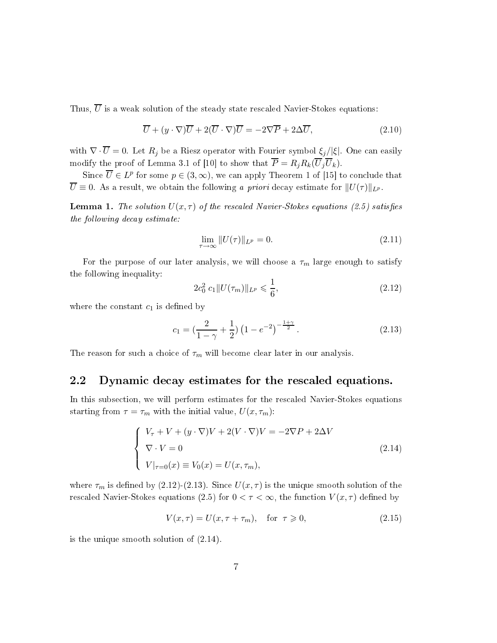Thus,  $\overline{U}$  is a weak solution of the steady state rescaled Navier-Stokes equations:

$$
\overline{U} + (y \cdot \nabla)\overline{U} + 2(\overline{U} \cdot \nabla)\overline{U} = -2\nabla \overline{P} + 2\Delta \overline{U},\tag{2.10}
$$

with  $\nabla \cdot \overline{U} = 0$ . Let  $R_j$  be a Riesz operator with Fourier symbol  $\xi_j/|\xi|$ . One can easily modify the proof of Lemma 3.1 of [10] to show that  $\overline{P} = R_j R_k(\overline{U}_j \overline{U}_k)$ .

Since  $\overline{U} \in L^p$  for some  $p \in (3, \infty)$ , we can apply Theorem 1 of [15] to conclude that  $\overline{U} \equiv 0$ . As a result, we obtain the following a priori decay estimate for  $||U(\tau)||_{L^p}$ .

**Lemma 1.** The solution  $U(x, \tau)$  of the rescaled Navier-Stokes equations (2.5) satisfies the following decay estimate:

$$
\lim_{\tau \to \infty} ||U(\tau)||_{L^p} = 0. \tag{2.11}
$$

For the purpose of our later analysis, we will choose a  $\tau_m$  large enough to satisfy the following inequality:

$$
2c_0^2 c_1 \| U(\tau_m) \|_{L^p} \leqslant \frac{1}{6},\tag{2.12}
$$

where the constant  $c_1$  is defined by

$$
c_1 = \left(\frac{2}{1-\gamma} + \frac{1}{2}\right) \left(1 - e^{-2}\right)^{-\frac{1+\gamma}{2}}.\tag{2.13}
$$

The reason for such a choice of  $\tau_m$  will become clear later in our analysis.

#### 2.2Dynamic decay estimates for the rescaled equations.

In this subse
tion, we will perform estimates for the res
aled Navier-Stokes equations starting from  $\tau = \tau_m$  with the initial value,  $U(x, \tau_m)$ :

$$
\begin{cases}\nV_{\tau} + V + (y \cdot \nabla)V + 2(V \cdot \nabla)V = -2\nabla P + 2\Delta V \\
\nabla \cdot V = 0 \\
V|_{\tau=0}(x) \equiv V_0(x) = U(x, \tau_m),\n\end{cases}
$$
\n(2.14)

where  $\tau_m$  is defined by (2.12)-(2.13). Since  $U(x, \tau)$  is the unique smooth solution of the rescaled Navier-Stokes equations (2.5) for  $0 < \tau < \infty$ , the function  $V(x, \tau)$  defined by

$$
V(x,\tau) = U(x,\tau + \tau_m), \quad \text{for } \tau \geq 0,
$$
\n(2.15)

is the unique smooth solution of (2.14).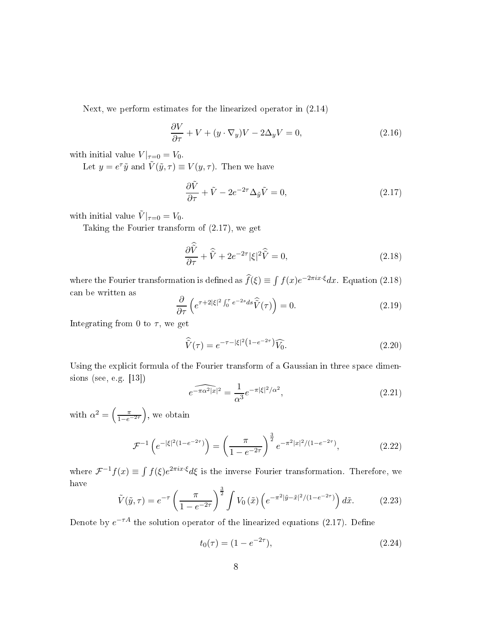Next, we perform estimates for the linearized operator in (2.14)

$$
\frac{\partial V}{\partial \tau} + V + (y \cdot \nabla_y)V - 2\Delta_y V = 0, \qquad (2.16)
$$

with initial value  $V|_{\tau=0} = V_0$ .

Let  $y = e^{\tau} \tilde{y}$  and  $\tilde{V}(\tilde{y}, \tau) \equiv V(y, \tau)$ . Then we have

$$
\frac{\partial \tilde{V}}{\partial \tau} + \tilde{V} - 2e^{-2\tau} \Delta_{\tilde{y}} \tilde{V} = 0, \qquad (2.17)
$$

with initial value  $\tilde{V}|_{\tau=0} = V_0$ .

Taking the Fourier transform of (2.17), we get

$$
\frac{\partial \hat{\tilde{V}}}{\partial \tau} + \hat{\tilde{V}} + 2e^{-2\tau} |\xi|^2 \hat{\tilde{V}} = 0,
$$
\n(2.18)

where the Fourier transformation is defined as  $\hat{f}(\xi) \equiv \int f(x)e^{-2\pi ix\cdot\xi}dx$ . Equation (2.18) an be written as

$$
\frac{\partial}{\partial \tau} \left( e^{\tau + 2|\xi|^2 \int_0^{\tau} e^{-2s} ds} \hat{\tilde{V}}(\tau) \right) = 0.
$$
\n(2.19)

Integrating from 0 to  $\tau$ , we get

$$
\widehat{\tilde{V}}(\tau) = e^{-\tau - |\xi|^2 (1 - e^{-2\tau})} \widehat{V_0}.
$$
\n(2.20)

Using the explicit formula of the Fourier transform of a Gaussian in three space dimensions (see, e.g.  $[13]$ )

$$
\widehat{e^{-\pi\alpha^2|x|^2}} = \frac{1}{\alpha^3} e^{-\pi|\xi|^2/\alpha^2},\tag{2.21}
$$

with  $\alpha^2 = \left(\frac{\pi}{1 - e^{-2\tau}}\right)$ , we obtain

$$
\mathcal{F}^{-1}\left(e^{-|\xi|^2(1-e^{-2\tau})}\right) = \left(\frac{\pi}{1-e^{-2\tau}}\right)^{\frac{3}{2}} e^{-\pi^2|x|^2/(1-e^{-2\tau})},\tag{2.22}
$$

where  $\mathcal{F}^{-1}f(x) \equiv \int f(\xi)e^{2\pi ix\cdot\xi}d\xi$  is the inverse Fourier transformation. Therefore, we have

$$
\tilde{V}(\tilde{y},\tau) = e^{-\tau} \left(\frac{\pi}{1 - e^{-2\tau}}\right)^{\frac{3}{2}} \int V_0\left(\tilde{x}\right) \left(e^{-\pi^2|\tilde{y} - \tilde{x}|^2/(1 - e^{-2\tau})}\right) d\tilde{x}.\tag{2.23}
$$

Denote by  $e^{-\tau A}$  the solution operator of the linearized equations (2.17). Define

$$
t_0(\tau) = (1 - e^{-2\tau}), \tag{2.24}
$$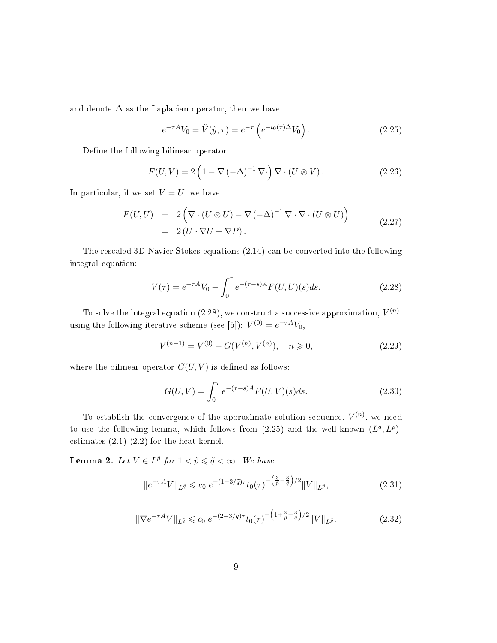and denote  $\Delta$  as the Laplacian operator, then we have

$$
e^{-\tau A}V_0 = \tilde{V}(\tilde{y}, \tau) = e^{-\tau} \left( e^{-t_0(\tau)\Delta} V_0 \right).
$$
 (2.25)

Define the following bilinear operator:

$$
F(U,V) = 2\left(1 - \nabla(-\Delta)^{-1}\nabla\cdot\right)\nabla\cdot(U\otimes V). \tag{2.26}
$$

In particular, if we set  $V = U$ , we have

$$
F(U, U) = 2\left(\nabla \cdot (U \otimes U) - \nabla (-\Delta)^{-1} \nabla \cdot \nabla \cdot (U \otimes U)\right)
$$
  
= 2(U \cdot \nabla U + \nabla P). (2.27)

The res
aled 3D Navier-Stokes equations (2.14) an be onverted into the following integral equation:

$$
V(\tau) = e^{-\tau A} V_0 - \int_0^{\tau} e^{-(\tau - s)A} F(U, U)(s) ds.
$$
 (2.28)

To solve the integral equation (2.28), we construct a successive approximation,  $V^{(n)}$ , using the following iterative scheme (see [5]):  $V^{(0)} = e^{-\tau A} V_0$ ,

$$
V^{(n+1)} = V^{(0)} - G(V^{(n)}, V^{(n)}), \quad n \ge 0,
$$
\n(2.29)

where the bilinear operator  $G(U, V)$  is defined as follows:

$$
G(U,V) = \int_0^{\tau} e^{-(\tau - s)A} F(U,V)(s)ds.
$$
 (2.30)

To establish the convergence of the approximate solution sequence,  $V^{(n)}$ , we need to use the following lemma, which follows from  $(2.25)$  and the well-known  $(L^q, L^p)$ estimates  $(2.1)-(2.2)$  for the heat kernel.

**Lemma 2.** Let  $V \in L^{\tilde{p}}$  for  $1 < \tilde{p} \leq \tilde{q} < \infty$ . We have

$$
||e^{-\tau A}V||_{L^{\tilde{q}}} \leq c_0 e^{-(1-3/\tilde{q})\tau} t_0(\tau)^{-\left(\frac{3}{\tilde{p}} - \frac{3}{\tilde{q}}\right)/2} ||V||_{L^{\tilde{p}}},\tag{2.31}
$$

$$
\|\nabla e^{-\tau A}V\|_{L^{\tilde{q}}} \leqslant c_0 \ e^{-(2-3/\tilde{q})\tau} t_0(\tau)^{-\left(1+\frac{3}{\tilde{p}}-\frac{3}{\tilde{q}}\right)/2} \|V\|_{L^{\tilde{p}}}.
$$
\n(2.32)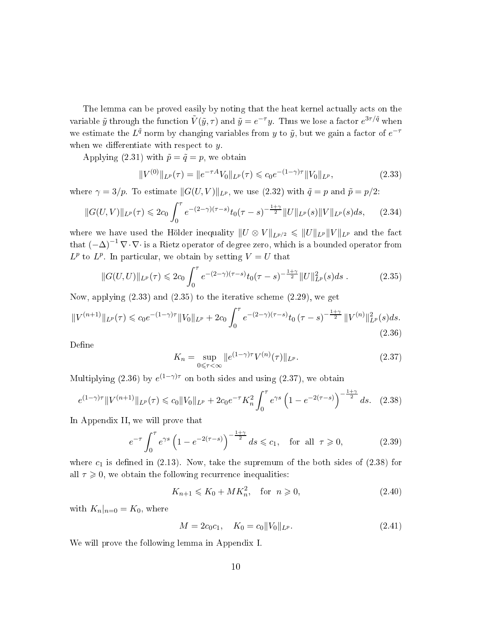The lemma can be proved easily by noting that the heat kernel actually acts on the variable  $\tilde{y}$  through the function  $\tilde{V}(\tilde{y},\tau)$  and  $\tilde{y}=e^{-\tau}y$ . Thus we lose a factor  $e^{3\tau/\tilde{q}}$  when we estimate the  $L^{\tilde{q}}$  norm by changing variables from y to  $\tilde{y}$ , but we gain a factor of  $e^{-\tau}$ when we differentiate with respect to  $y$ .

Applying (2.31) with  $\tilde{p} = \tilde{q} = p$ , we obtain

$$
||V^{(0)}||_{L^{p}}(\tau) = ||e^{-\tau A}V_{0}||_{L^{p}}(\tau) \leq c_{0}e^{-(1-\gamma)\tau}||V_{0}||_{L^{p}},
$$
\n(2.33)

where  $\gamma = 3/p$ . To estimate  $||G(U,V)||_{L^p}$ , we use (2.32) with  $\tilde{q} = p$  and  $\tilde{p} = p/2$ :

$$
||G(U,V)||_{L^{p}}(\tau) \leq 2c_{0} \int_{0}^{\tau} e^{-(2-\gamma)(\tau-s)} t_{0}(\tau-s)^{-\frac{1+\gamma}{2}} ||U||_{L^{p}}(s)||V||_{L^{p}}(s)ds, \qquad (2.34)
$$

where we have used the Hölder inequality  $||U \otimes V||_{L^{p/2}} \leq ||U||_{L^p} ||V||_{L^p}$  and the fact that  $(-\Delta)^{-1} \nabla \cdot \nabla \cdot$  is a Rietz operator of degree zero, which is a bounded operator from  $L^p$  to  $L^p$ . In particular, we obtain by setting  $V = U$  that

$$
||G(U,U)||_{L^{p}}(\tau) \leq 2c_0 \int_0^{\tau} e^{-(2-\gamma)(\tau-s)} t_0(\tau-s)^{-\frac{1+\gamma}{2}} ||U||_{L^{p}}^2(s) ds.
$$
 (2.35)

Now, applying (2.33) and (2.35) to the iterative s
heme (2.29), we get

$$
||V^{(n+1)}||_{L^{p}}(\tau) \leq c_{0}e^{-(1-\gamma)\tau}||V_{0}||_{L^{p}} + 2c_{0} \int_{0}^{\tau} e^{-(2-\gamma)(\tau-s)}t_{0}(\tau-s)^{-\frac{1+\gamma}{2}}||V^{(n)}||_{L^{p}}^{2}(s)ds.
$$
\n(2.36)

Define

$$
K_n = \sup_{0 \le \tau < \infty} \|e^{(1-\gamma)\tau} V^{(n)}(\tau)\|_{L^p}.\tag{2.37}
$$

Multiplying (2.36) by  $e^{(1-\gamma)\tau}$  on both sides and using (2.37), we obtain

$$
e^{(1-\gamma)\tau} \| V^{(n+1)} \|_{L^p}(\tau) \leq c_0 \| V_0 \|_{L^p} + 2c_0 e^{-\tau} K_n^2 \int_0^\tau e^{\gamma s} \left( 1 - e^{-2(\tau - s)} \right)^{-\frac{1+\gamma}{2}} ds. \tag{2.38}
$$

In Appendix II, we will prove that

$$
e^{-\tau} \int_0^{\tau} e^{\gamma s} \left( 1 - e^{-2(\tau - s)} \right)^{-\frac{1 + \gamma}{2}} ds \leq c_1, \text{ for all } \tau \geq 0,
$$
 (2.39)

where  $c_1$  is defined in (2.13). Now, take the supremum of the both sides of (2.38) for all  $\tau \geqslant 0$ , we obtain the following recurrence inequalities:

$$
K_{n+1} \leqslant K_0 + MK_n^2, \quad \text{for } n \geqslant 0,
$$
\n
$$
(2.40)
$$

with  $K_n|_{n=0} = K_0$ , where

$$
M = 2c_0c_1, \quad K_0 = c_0 ||V_0||_{L^p}.
$$
\n(2.41)

We will prove the following lemma in Appendix I.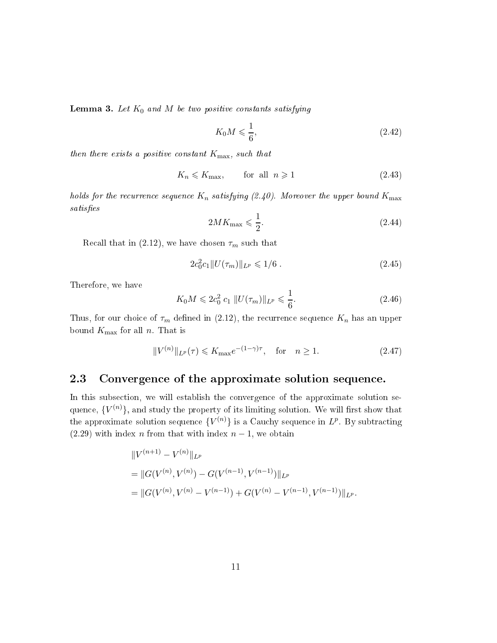**Lemma 3.** Let  $K_0$  and M be two positive constants satisfying

$$
K_0 M \leqslant \frac{1}{6},\tag{2.42}
$$

then there exists a positive constant  $K_{\text{max}}$ , such that

$$
K_n \leqslant K_{\text{max}}, \qquad \text{for all } n \geqslant 1 \tag{2.43}
$$

holds for the recurrence sequence  $K_n$  satisfying (2.40). Moreover the upper bound  $K_{\text{max}}$ satisfies

$$
2MK_{\text{max}} \leqslant \frac{1}{2}.\tag{2.44}
$$

Recall that in (2.12), we have chosen  $\tau_m$  such that

$$
2c_0^2c_1\|U(\tau_m)\|_{L^p} \leq 1/6\;.\tag{2.45}
$$

Therefore, we have

$$
K_0 M \leq 2c_0^2 c_1 \| U(\tau_m) \|_{L^p} \leq \frac{1}{6}.
$$
\n(2.46)

Thus, for our choice of  $\tau_m$  defined in (2.12), the recurrence sequence  $K_n$  has an upper bound  $K_{\text{max}}$  for all n. That is

$$
||V^{(n)}||_{L^p}(\tau) \le K_{\text{max}}e^{-(1-\gamma)\tau}, \quad \text{for} \quad n \ge 1. \tag{2.47}
$$

#### 2.3Convergence of the approximate solution sequence.

In this subse
tion, we will establish the onvergen
e of the approximate solution sequence,  $\{V^{(n)}\}$ , and study the property of its limiting solution. We will first show that the approximate solution sequence  ${V^{(n)}}$  is a Cauchy sequence in  $L^p$ . By subtracting (2.29) with index n from that with index  $n-1$ , we obtain

$$
\|V^{(n+1)} - V^{(n)}\|_{L^p}
$$
  
=  $||G(V^{(n)}, V^{(n)}) - G(V^{(n-1)}, V^{(n-1)})||_{L^p}$   
=  $||G(V^{(n)}, V^{(n)} - V^{(n-1)}) + G(V^{(n)} - V^{(n-1)}, V^{(n-1)})||_{L^p}.$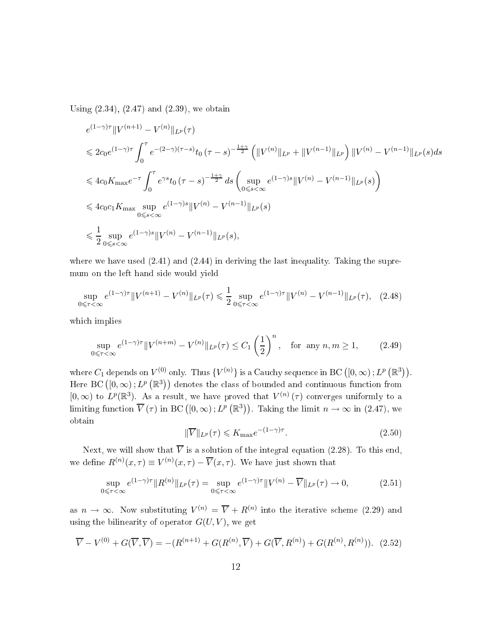Using (2.34), (2.47) and (2.39), we obtain

$$
e^{(1-\gamma)\tau} \| V^{(n+1)} - V^{(n)} \|_{L^p} (\tau)
$$
  
\n
$$
\leq 2c_0 e^{(1-\gamma)\tau} \int_0^\tau e^{-(2-\gamma)(\tau-s)} t_0 (\tau-s)^{-\frac{1+\gamma}{2}} \left( \|V^{(n)}\|_{L^p} + \|V^{(n-1)}\|_{L^p} \right) \|V^{(n)} - V^{(n-1)}\|_{L^p} (s) ds
$$
  
\n
$$
\leq 4c_0 K_{\max} e^{-\tau} \int_0^\tau e^{\gamma s} t_0 (\tau-s)^{-\frac{1+\gamma}{2}} ds \left( \sup_{0 \leq s < \infty} e^{(1-\gamma)s} \|V^{(n)} - V^{(n-1)}\|_{L^p} (s) \right)
$$
  
\n
$$
\leq 4c_0 c_1 K_{\max} \sup_{0 \leq s < \infty} e^{(1-\gamma)s} \|V^{(n)} - V^{(n-1)}\|_{L^p} (s)
$$
  
\n
$$
\leq \frac{1}{2} \sup_{0 \leq s < \infty} e^{(1-\gamma)s} \|V^{(n)} - V^{(n-1)}\|_{L^p} (s),
$$

where we have used  $(2.41)$  and  $(2.44)$  in deriving the last inequality. Taking the supremum on the left hand side would yield

$$
\sup_{0 \leq \tau < \infty} e^{(1-\gamma)\tau} \| V^{(n+1)} - V^{(n)} \|_{L^p}(\tau) \leq \frac{1}{2} \sup_{0 \leq \tau < \infty} e^{(1-\gamma)\tau} \| V^{(n)} - V^{(n-1)} \|_{L^p}(\tau), \tag{2.48}
$$

whi
h implies

$$
\sup_{0 \leq \tau < \infty} e^{(1-\gamma)\tau} \| V^{(n+m)} - V^{(n)} \|_{L^p}(\tau) \leq C_1 \left(\frac{1}{2}\right)^n, \quad \text{for any } n, m \geq 1,\tag{2.49}
$$

where  $C_1$  depends on  $V^{(0)}$  only. Thus  $\{V^{(n)}\}$  is a Cauchy sequence in BC  $([0, \infty); L^p(\mathbb{R}^3))$ . Here BC  $([0, \infty); L^p(\mathbb{R}^3))$  denotes the class of bounded and continuous function from [0,  $\infty$ ) to  $L^p(\mathbb{R}^3)$ . As a result, we have proved that  $V^{(n)}(\tau)$  converges uniformly to a limiting function  $\overline{V}(\tau)$  in BC  $([0,\infty); L^p(\mathbb{R}^3))$ . Taking the limit  $n \to \infty$  in (2.47), we obtain

$$
\|\overline{V}\|_{L^{p}}(\tau) \leqslant K_{\max}e^{-(1-\gamma)\tau}.\tag{2.50}
$$

Next, we will show that  $\overline{V}$  is a solution of the integral equation (2.28). To this end, we define  $R^{(n)}(x,\tau) \equiv V^{(n)}(x,\tau) - \overline{V}(x,\tau)$ . We have just shown that

$$
\sup_{0 \leq \tau < \infty} e^{(1-\gamma)\tau} \|R^{(n)}\|_{L^p}(\tau) = \sup_{0 \leq \tau < \infty} e^{(1-\gamma)\tau} \|V^{(n)} - \overline{V}\|_{L^p}(\tau) \to 0,\tag{2.51}
$$

as  $n \to \infty$ . Now substituting  $V^{(n)} = \overline{V} + R^{(n)}$  into the iterative scheme (2.29) and using the bilinearity of operator  $G(U, V)$ , we get

$$
\overline{V} - V^{(0)} + G(\overline{V}, \overline{V}) = -(R^{(n+1)} + G(R^{(n)}, \overline{V}) + G(\overline{V}, R^{(n)}) + G(R^{(n)}, R^{(n)})). \tag{2.52}
$$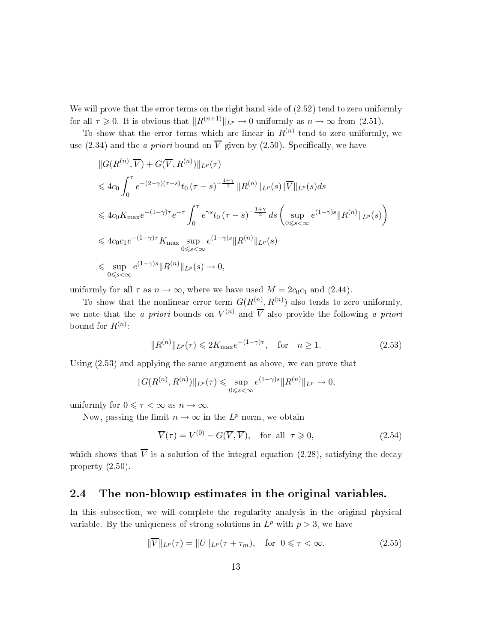We will prove that the error terms on the right hand side of  $(2.52)$  tend to zero uniformly for all  $\tau \geq 0$ . It is obvious that  $||R^{(n+1)}||_{L^p} \to 0$  uniformly as  $n \to \infty$  from (2.51).

To show that the error terms which are linear in  $R^{(n)}$  tend to zero uniformly, we use (2.34) and the *a priori* bound on  $\overline{V}$  given by (2.50). Specifically, we have

$$
||G(R^{(n)}, \overline{V}) + G(\overline{V}, R^{(n)})||_{L^{p}}(\tau)
$$
  
\n
$$
\leq 4c_{0} \int_{0}^{\tau} e^{-(2-\gamma)(\tau-s)} t_{0} (\tau-s)^{-\frac{1+\gamma}{2}} ||R^{(n)}||_{L^{p}}(s)||\overline{V}||_{L^{p}}(s) ds
$$
  
\n
$$
\leq 4c_{0} K_{\max} e^{-(1-\gamma)\tau} e^{-\tau} \int_{0}^{\tau} e^{\gamma s} t_{0} (\tau-s)^{-\frac{1+\gamma}{2}} ds \left( \sup_{0 \leq s < \infty} e^{(1-\gamma)s} ||R^{(n)}||_{L^{p}}(s) \right)
$$
  
\n
$$
\leq 4c_{0} c_{1} e^{-(1-\gamma)\tau} K_{\max} \sup_{0 \leq s < \infty} e^{(1-\gamma)s} ||R^{(n)}||_{L^{p}}(s)
$$
  
\n
$$
\leq \sup_{0 \leq s < \infty} e^{(1-\gamma)s} ||R^{(n)}||_{L^{p}}(s) \to 0,
$$

uniformly for all  $\tau$  as  $n \to \infty$ , where we have used  $M = 2c_0c_1$  and (2.44).

To show that the nonlinear error term  $G(R^{(n)}, R^{(n)})$  also tends to zero uniformly, we note that the *a priori* bounds on  $V^{(n)}$  and  $\overline{V}$  also provide the following *a priori* bound for  $R^{(n)}$ :

$$
||R^{(n)}||_{L^{p}}(\tau) \leq 2K_{\max}e^{-(1-\gamma)\tau}, \text{ for } n \geq 1.
$$
 (2.53)

Using  $(2.53)$  and applying the same argument as above, we can prove that

$$
||G(R^{(n)}, R^{(n)})||_{L^p}(\tau) \leq \sup_{0 \leq s < \infty} e^{(1-\gamma)s} ||R^{(n)}||_{L^p} \to 0,
$$

uniformly for  $0 \leq \tau < \infty$  as  $n \to \infty$ .

Now, passing the limit  $n \to \infty$  in the  $L^p$  norm, we obtain

$$
\overline{V}(\tau) = V^{(0)} - G(\overline{V}, \overline{V}), \quad \text{for all } \tau \ge 0,
$$
\n(2.54)

which shows that  $\overline{V}$  is a solution of the integral equation (2.28), satisfying the decay property (2.50).

#### 2.4The non-blowup estimates in the original variables.

In this subsection, we will complete the regularity analysis in the original physical variable. By the uniqueness of strong solutions in  $L^p$  with  $p > 3$ , we have

$$
\|\overline{V}\|_{L^p}(\tau) = \|U\|_{L^p}(\tau + \tau_m), \quad \text{for } 0 \le \tau < \infty. \tag{2.55}
$$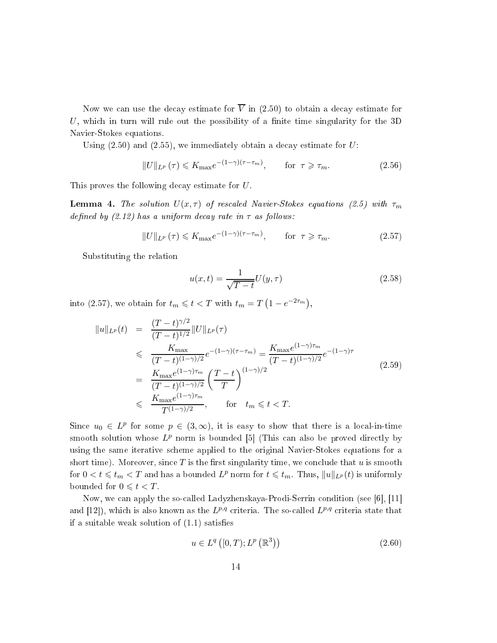Now we can use the decay estimate for  $\overline{V}$  in (2.50) to obtain a decay estimate for U, which in turn will rule out the possibility of a finite time singularity for the  $3D$ Navier-Stokes equations.

Using  $(2.50)$  and  $(2.55)$ , we immediately obtain a decay estimate for U:

$$
||U||_{L^{p}}(\tau) \leq K_{\max}e^{-(1-\gamma)(\tau-\tau_{m})}, \qquad \text{for } \tau \geq \tau_{m}.
$$
 (2.56)

This proves the following decay estimate for U.

**Lemma 4.** The solution  $U(x, \tau)$  of rescaled Navier-Stokes equations (2.5) with  $\tau_m$ defined by  $(2.12)$  has a uniform decay rate in  $\tau$  as follows:

$$
||U||_{L^{p}}(\tau) \leq K_{\max}e^{-(1-\gamma)(\tau-\tau_{m})}, \qquad \text{for } \tau \geq \tau_{m}.
$$
 (2.57)

Substituting the relation

$$
u(x,t) = \frac{1}{\sqrt{T-t}}U(y,\tau)
$$
\n
$$
(2.58)
$$

into (2.57), we obtain for  $t_m \leqslant t < T$  with  $t_m = T(1 - e^{-2\tau_m})$ ,

$$
||u||_{L^{p}}(t) = \frac{(T-t)^{\gamma/2}}{(T-t)^{1/2}}||U||_{L^{p}}(\tau)
$$
  
\n
$$
\leq \frac{K_{\max}}{(T-t)^{(1-\gamma)/2}}e^{-(1-\gamma)(\tau-\tau_{m})} = \frac{K_{\max}e^{(1-\gamma)\tau_{m}}}{(T-t)^{(1-\gamma)/2}}e^{-(1-\gamma)\tau}
$$
  
\n
$$
= \frac{K_{\max}e^{(1-\gamma)\tau_{m}}}{(T-t)^{(1-\gamma)/2}}\left(\frac{T-t}{T}\right)^{(1-\gamma)/2}
$$
  
\n
$$
\leq \frac{K_{\max}e^{(1-\gamma)\tau_{m}}}{T^{(1-\gamma)/2}}, \quad \text{for} \quad t_{m} \leq t < T.
$$
 (2.59)

Since  $u_0 \in L^p$  for some  $p \in (3,\infty)$ , it is easy to show that there is a local-in-time smooth solution whose  $L^p$  norm is bounded [5] (This can also be proved directly by using the same iterative s
heme applied to the original Navier-Stokes equations for a short time). Moreover, since  $T$  is the first singularity time, we conclude that  $u$  is smooth for  $0 < t \leqslant t_m < T$  and has a bounded  $L^p$  norm for  $t \leqslant t_m$ . Thus,  $||u||_{L^p}(t)$  is uniformly bounded for  $0 \leq t < T$ .

Now, we can apply the so-called Ladyzhenskaya-Prodi-Serrin condition (see [6], [11] and [12]), which is also known as the  $L^{p,q}$  criteria. The so-called  $L^{p,q}$  criteria state that if a suitable weak solution of  $(1.1)$  satisfies

$$
u \in L^{q}([0, T); L^{p}(\mathbb{R}^{3}))
$$
\n
$$
(2.60)
$$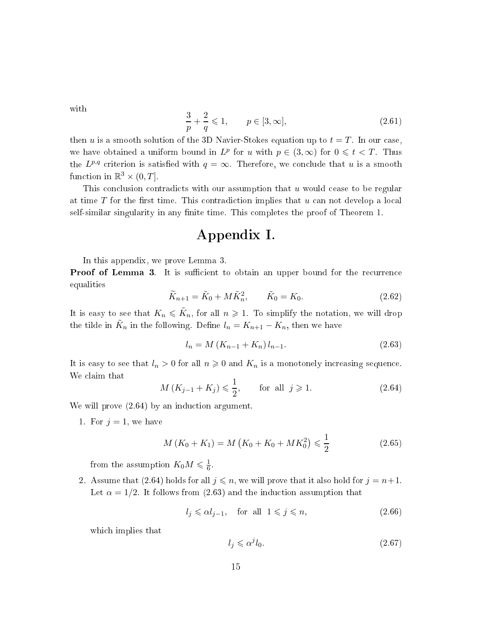with

$$
\frac{3}{p} + \frac{2}{q} \leq 1, \qquad p \in [3, \infty],
$$
\n(2.61)

then u is a smooth solution of the 3D Navier-Stokes equation up to  $t = T$ . In our case, we have obtained a uniform bound in  $L^p$  for u with  $p \in (3, \infty)$  for  $0 \leq t < T$ . Thus the  $L^{p,q}$  criterion is satisfied with  $q = \infty$ . Therefore, we conclude that u is a smooth function in  $\mathbb{R}^3 \times (0,T]$ .

This conclusion contradicts with our assumption that  $u$  would cease to be regular at time  $T$  for the first time. This contradiction implies that  $u$  can not develop a local self-similar singularity in any finite time. This completes the proof of Theorem 1.

## Appendix I.

In this appendix, we prove Lemma 3.

**Proof of Lemma 3.** It is sufficient to obtain an upper bound for the recurrence equalities

$$
\widetilde{K}_{n+1} = \widetilde{K}_0 + M \widetilde{K}_n^2, \qquad \widetilde{K}_0 = K_0.
$$
\n(2.62)

It is easy to see that  $K_n \leqslant \tilde{K}_n$ , for all  $n \geqslant 1$ . To simplify the notation, we will drop the tilde in  $\tilde{K}_n$  in the following. Define  $l_n = K_{n+1} - K_n$ , then we have

$$
l_n = M\left(K_{n-1} + K_n\right)l_{n-1}.\tag{2.63}
$$

It is easy to see that  $l_n > 0$  for all  $n \geq 0$  and  $K_n$  is a monotonely increasing sequence. We laim that

$$
M(K_{j-1} + K_j) \le \frac{1}{2}
$$
, for all  $j \ge 1$ . (2.64)

We will prove  $(2.64)$  by an induction argument.

1. For  $j = 1$ , we have

$$
M(K_0 + K_1) = M(K_0 + K_0 + MK_0^2) \le \frac{1}{2}
$$
\n(2.65)

from the assumption  $K_0 M \leqslant \frac{1}{6}$ 6 .

2. Assume that (2.64) holds for all  $j \leq n$ , we will prove that it also hold for  $j = n+1$ . Let  $\alpha = 1/2$ . It follows from (2.63) and the induction assumption that

$$
l_j \leqslant \alpha l_{j-1}, \quad \text{for all } 1 \leqslant j \leqslant n,\tag{2.66}
$$

which implies that

$$
l_j \leqslant \alpha^j l_0. \tag{2.67}
$$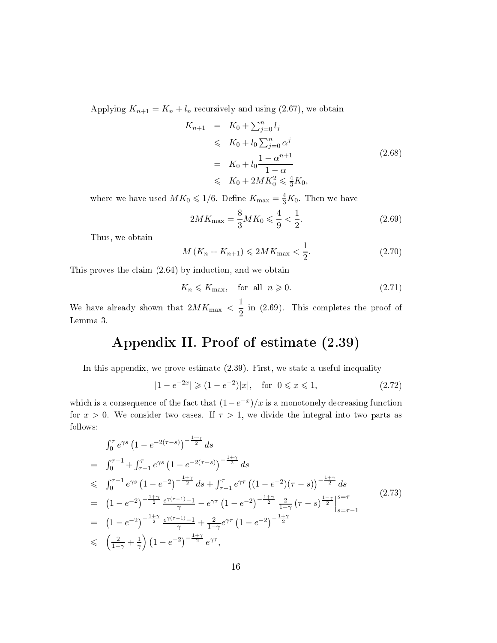Applying  $K_{n+1} = K_n + l_n$  recursively and using (2.67), we obtain

$$
K_{n+1} = K_0 + \sum_{j=0}^{n} l_j
$$
  
\n
$$
\leq K_0 + l_0 \sum_{j=0}^{n} \alpha^j
$$
  
\n
$$
= K_0 + l_0 \frac{1 - \alpha^{n+1}}{1 - \alpha}
$$
  
\n
$$
\leq K_0 + 2MK_0^2 \leq \frac{4}{3}K_0,
$$
\n(2.68)

where we have used  $MK_0 \leqslant 1/6$ . Define  $K_{\text{max}} = \frac{4}{3}K_0$ . Then we have

$$
2MK_{\text{max}} = \frac{8}{3}MK_0 \le \frac{4}{9} < \frac{1}{2}.
$$
\n(2.69)

Thus, we obtain

$$
M(K_n + K_{n+1}) \leq 2MK_{\text{max}} < \frac{1}{2}.\tag{2.70}
$$

This proves the claim  $(2.64)$  by induction, and we obtain

$$
K_n \leqslant K_{\text{max}}, \quad \text{for all } n \geqslant 0. \tag{2.71}
$$

We have already shown that  $2MK_{\text{max}} < \frac{1}{2}$  $2<sup>m</sup>$  (2.69). This completes the proof of Lemma 3.

# Appendix II. Proof of estimate (2.39)

In this appendix, we prove estimate (2.39). First, we state a useful inequality

$$
|1 - e^{-2x}| \geq (1 - e^{-2})|x|, \quad \text{for } 0 \leq x \leq 1,
$$
\n(2.72)

which is a consequence of the fact that  $(1-e^{-x})/x$  is a monotonely decreasing function for  $x > 0$ . We consider two cases. If  $\tau > 1$ , we divide the integral into two parts as follows:

$$
\int_{0}^{\tau} e^{\gamma s} (1 - e^{-2(\tau - s)})^{-\frac{1 + \gamma}{2}} ds
$$
\n
$$
= \int_{0}^{\tau - 1} f_{\tau - 1}^{\tau} e^{\gamma s} (1 - e^{-2(\tau - s)})^{-\frac{1 + \gamma}{2}} ds
$$
\n
$$
\leq \int_{0}^{\tau - 1} e^{\gamma s} (1 - e^{-2})^{-\frac{1 + \gamma}{2}} ds + \int_{\tau - 1}^{\tau} e^{\gamma \tau} ((1 - e^{-2})(\tau - s))^{-\frac{1 + \gamma}{2}} ds
$$
\n
$$
= (1 - e^{-2})^{-\frac{1 + \gamma}{2}} \frac{e^{\gamma (\tau - 1)} - 1}{\gamma} - e^{\gamma \tau} (1 - e^{-2})^{-\frac{1 + \gamma}{2}} \frac{2}{1 - \gamma} (\tau - s)^{\frac{1 - \gamma}{2}} \Big|_{s = \tau - 1}^{s = \tau}
$$
\n
$$
= (1 - e^{-2})^{-\frac{1 + \gamma}{2}} \frac{e^{\gamma (\tau - 1)} - 1}{\gamma} + \frac{2}{1 - \gamma} e^{\gamma \tau} (1 - e^{-2})^{-\frac{1 + \gamma}{2}}
$$
\n
$$
\leq \left(\frac{2}{1 - \gamma} + \frac{1}{\gamma}\right) (1 - e^{-2})^{-\frac{1 + \gamma}{2}} e^{\gamma \tau},
$$
\n(2.73)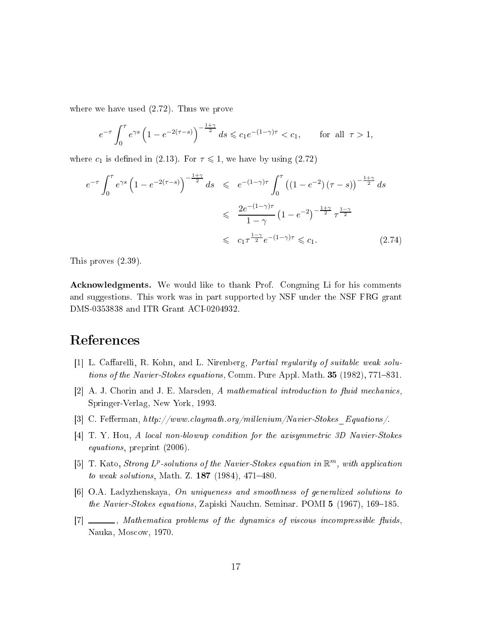where we have used (2.72). Thus we prove

$$
e^{-\tau} \int_0^{\tau} e^{\gamma s} (1 - e^{-2(\tau - s)})^{-\frac{1 + \gamma}{2}} ds \leq c_1 e^{-(1 - \gamma)\tau} < c_1,
$$
 for all  $\tau > 1$ ,

where  $c_1$  is defined in (2.13). For  $\tau \leq 1$ , we have by using (2.72)

$$
e^{-\tau} \int_0^{\tau} e^{\gamma s} \left( 1 - e^{-2(\tau - s)} \right)^{-\frac{1+\gamma}{2}} ds \leq e^{-(1-\gamma)\tau} \int_0^{\tau} \left( (1 - e^{-2}) \left( \tau - s \right) \right)^{-\frac{1+\gamma}{2}} ds
$$
  

$$
\leq \frac{2e^{-(1-\gamma)\tau}}{1 - \gamma} \left( 1 - e^{-2} \right)^{-\frac{1+\gamma}{2}} \tau^{\frac{1-\gamma}{2}}
$$
  

$$
\leq c_1 \tau^{\frac{1-\gamma}{2}} e^{-(1-\gamma)\tau} \leq c_1.
$$
 (2.74)

This proves (2.39).

Acknowledgments. We would like to thank Prof. Congming Li for his comments and suggestions. This work was in part supported by NSF under the NSF FRG grant DMS-0353838 and ITR Grant ACI-0204932.

## Referen
es

- [1] L. Caffarelli, R. Kohn, and L. Nirenberg, *Partial regularity of suitable weak solu*tions of the Navier-Stokes equations, Comm. Pure Appl. Math.  $35$  (1982), 771–831.
- [2] A. J. Chorin and J. E. Marsden, A mathematical introduction to fluid mechanics, Springer-Verlag, New York, 1993.
- [3] C. Fefferman,  $http://www.classaymath.org/millenium/Navier-Stokes$  Equations/.
- [4] T. Y. Hou, A local non-blowup condition for the axisymmetric 3D Navier-Stokes equations, preprint (2006).
- [5] T. Kato, Strong  $L^p$ -solutions of the Navier-Stokes equation in  $\mathbb{R}^m$ , with application to weak solutions, Math. Z.  $187$  (1984), 471-480.
- $[6]$  O.A. Ladyzhenskaya, On uniqueness and smoothness of generalized solutions to the Navier-Stokes equations, Zapiski Nauchn. Seminar. POMI 5 (1967), 169-185.
- [7] \_\_\_\_, Mathematica problems of the dynamics of viscous incompressible fluids, Nauka, Mos
ow, 1970.